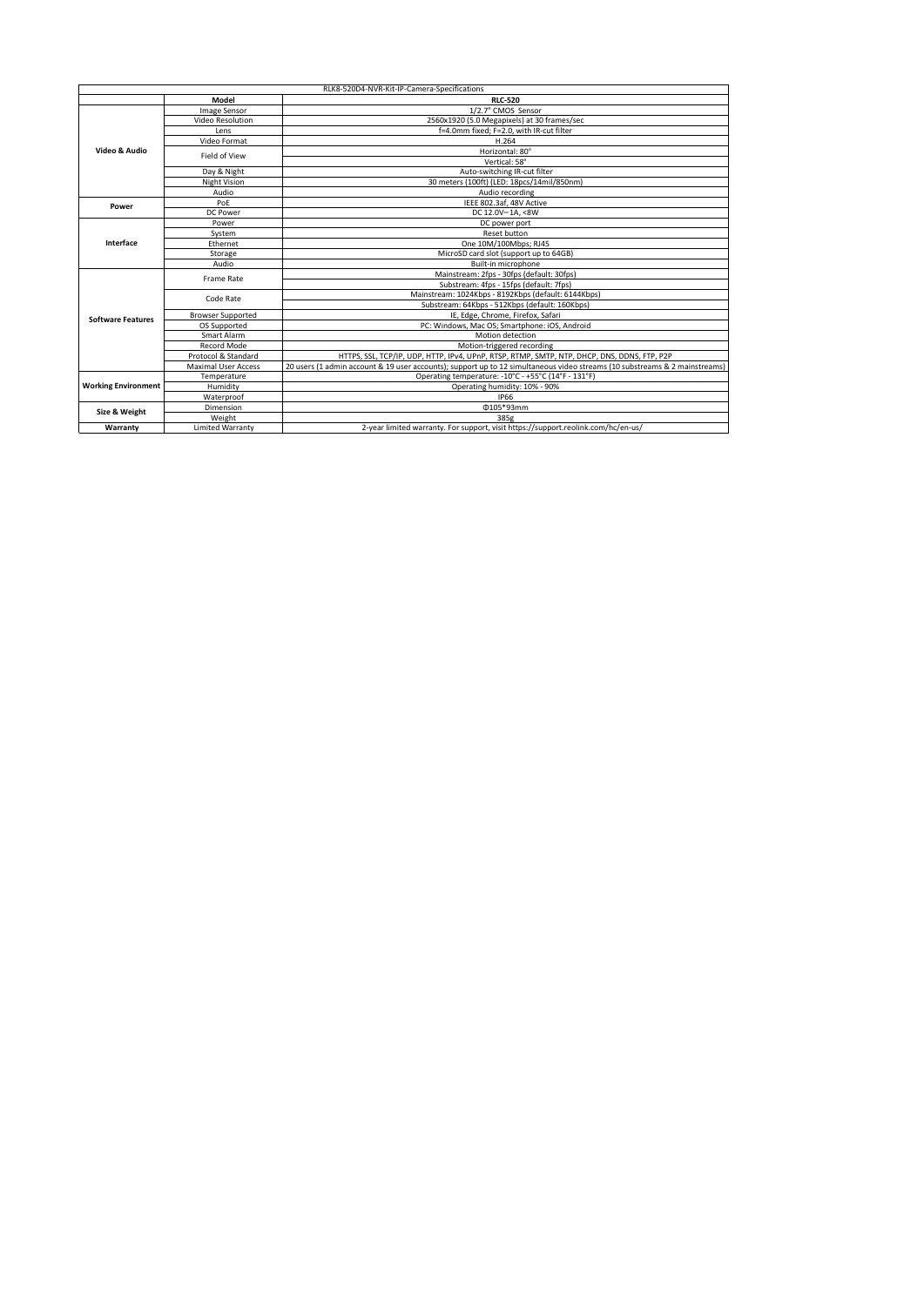| RLK8-520D4-NVR-Kit-IP-Camera-Specifications |                            |                                                                                                                            |
|---------------------------------------------|----------------------------|----------------------------------------------------------------------------------------------------------------------------|
|                                             | Model                      | <b>RLC-520</b>                                                                                                             |
| Video & Audio                               | Image Sensor               | 1/2.7" CMOS Sensor                                                                                                         |
|                                             | Video Resolution           | 2560x1920 (5.0 Megapixels) at 30 frames/sec                                                                                |
|                                             | Lens                       | f=4.0mm fixed; F=2.0, with IR-cut filter                                                                                   |
|                                             | Video Format               | H.264                                                                                                                      |
|                                             | Field of View              | Horizontal: 80°                                                                                                            |
|                                             |                            | Vertical: 58°                                                                                                              |
|                                             | Day & Night                | Auto-switching IR-cut filter                                                                                               |
|                                             | <b>Night Vision</b>        | 30 meters (100ft) (LED: 18pcs/14mil/850nm)                                                                                 |
|                                             | Audio                      | Audio recording                                                                                                            |
| Power                                       | PoF                        | IEEE 802.3af. 48V Active                                                                                                   |
|                                             | <b>DC Power</b>            | DC 12.0V-1A. <8W                                                                                                           |
| Interface                                   | Power                      | DC power port                                                                                                              |
|                                             | System                     | Reset button                                                                                                               |
|                                             | Ethernet                   | One 10M/100Mbps; RJ45                                                                                                      |
|                                             | Storage                    | MicroSD card slot (support up to 64GB)                                                                                     |
|                                             | Audio                      | Built-in microphone                                                                                                        |
| <b>Software Features</b>                    | Frame Rate                 | Mainstream: 2fps - 30fps (default: 30fps)                                                                                  |
|                                             |                            | Substream: 4fps - 15fps (default: 7fps)                                                                                    |
|                                             | Code Rate                  | Mainstream: 1024Kbps - 8192Kbps (default: 6144Kbps)                                                                        |
|                                             |                            | Substream: 64Kbps - 512Kbps (default: 160Kbps)                                                                             |
|                                             | <b>Browser Supported</b>   | IE. Edge. Chrome. Firefox. Safari                                                                                          |
|                                             | OS Supported               | PC: Windows, Mac OS; Smartphone: iOS, Android                                                                              |
|                                             | Smart Alarm                | Motion detection                                                                                                           |
|                                             | Record Mode                | Motion-triggered recording                                                                                                 |
|                                             | Protocol & Standard        | HTTPS, SSL, TCP/IP, UDP, HTTP, IPv4, UPnP, RTSP, RTMP, SMTP, NTP, DHCP, DNS, DDNS, FTP, P2P                                |
|                                             | <b>Maximal User Access</b> | 20 users (1 admin account & 19 user accounts); support up to 12 simultaneous video streams (10 substreams & 2 mainstreams) |
| <b>Working Environment</b>                  | Temperature                | Operating temperature: -10°C - +55°C (14°F - 131°F)                                                                        |
|                                             | Humidity                   | Operating humidity: 10% - 90%                                                                                              |
|                                             | Waterproof                 | <b>IP66</b>                                                                                                                |
| Size & Weight                               | Dimension                  | 0105*93mm                                                                                                                  |
|                                             | Weight                     | 385g                                                                                                                       |
| Warranty                                    | <b>Limited Warranty</b>    | 2-year limited warranty. For support, visit https://support.reolink.com/hc/en-us/                                          |